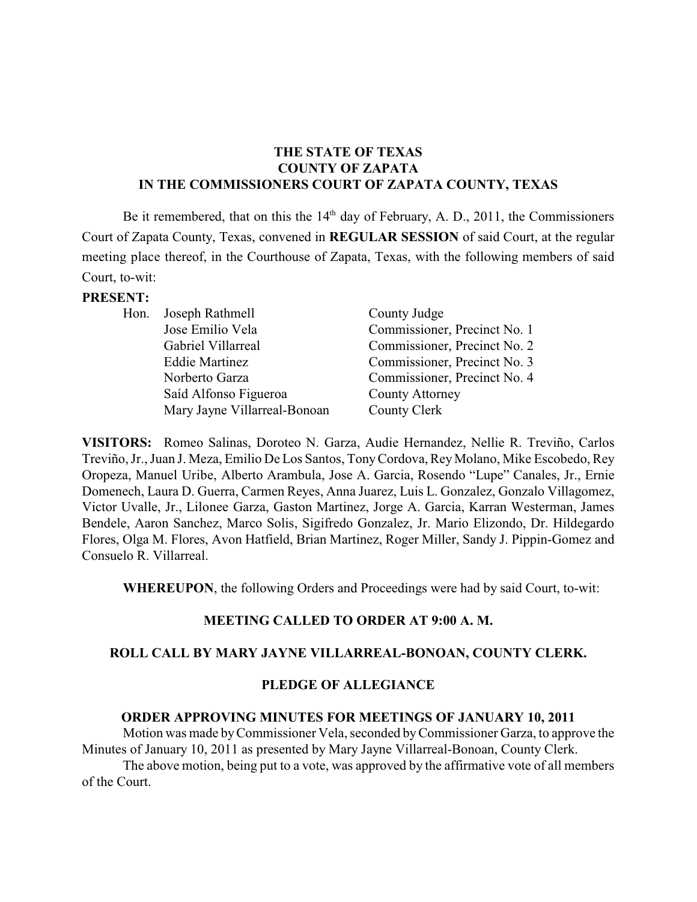# **THE STATE OF TEXAS COUNTY OF ZAPATA IN THE COMMISSIONERS COURT OF ZAPATA COUNTY, TEXAS**

Be it remembered, that on this the  $14<sup>th</sup>$  day of February, A. D., 2011, the Commissioners Court of Zapata County, Texas, convened in **REGULAR SESSION** of said Court, at the regular meeting place thereof, in the Courthouse of Zapata, Texas, with the following members of said Court, to-wit:

#### **PRESENT:**

| Hon. Joseph Rathmell         | County Judge                 |
|------------------------------|------------------------------|
| Jose Emilio Vela             | Commissioner, Precinct No. 1 |
| Gabriel Villarreal           | Commissioner, Precinct No. 2 |
| <b>Eddie Martinez</b>        | Commissioner, Precinct No. 3 |
| Norberto Garza               | Commissioner, Precinct No. 4 |
| Saíd Alfonso Figueroa        | <b>County Attorney</b>       |
| Mary Jayne Villarreal-Bonoan | County Clerk                 |
|                              |                              |

**VISITORS:** Romeo Salinas, Doroteo N. Garza, Audie Hernandez, Nellie R. Treviño, Carlos Treviño, Jr., Juan J. Meza, Emilio De Los Santos, TonyCordova, ReyMolano, Mike Escobedo, Rey Oropeza, Manuel Uribe, Alberto Arambula, Jose A. Garcia, Rosendo "Lupe" Canales, Jr., Ernie Domenech, Laura D. Guerra, Carmen Reyes, Anna Juarez, Luis L. Gonzalez, Gonzalo Villagomez, Victor Uvalle, Jr., Lilonee Garza, Gaston Martinez, Jorge A. Garcia, Karran Westerman, James Bendele, Aaron Sanchez, Marco Solis, Sigifredo Gonzalez, Jr. Mario Elizondo, Dr. Hildegardo Flores, Olga M. Flores, Avon Hatfield, Brian Martinez, Roger Miller, Sandy J. Pippin-Gomez and Consuelo R. Villarreal.

**WHEREUPON**, the following Orders and Proceedings were had by said Court, to-wit:

### **MEETING CALLED TO ORDER AT 9:00 A. M.**

### **ROLL CALL BY MARY JAYNE VILLARREAL-BONOAN, COUNTY CLERK.**

### **PLEDGE OF ALLEGIANCE**

### **ORDER APPROVING MINUTES FOR MEETINGS OF JANUARY 10, 2011**

Motion was made byCommissioner Vela, seconded byCommissioner Garza, to approve the Minutes of January 10, 2011 as presented by Mary Jayne Villarreal-Bonoan, County Clerk.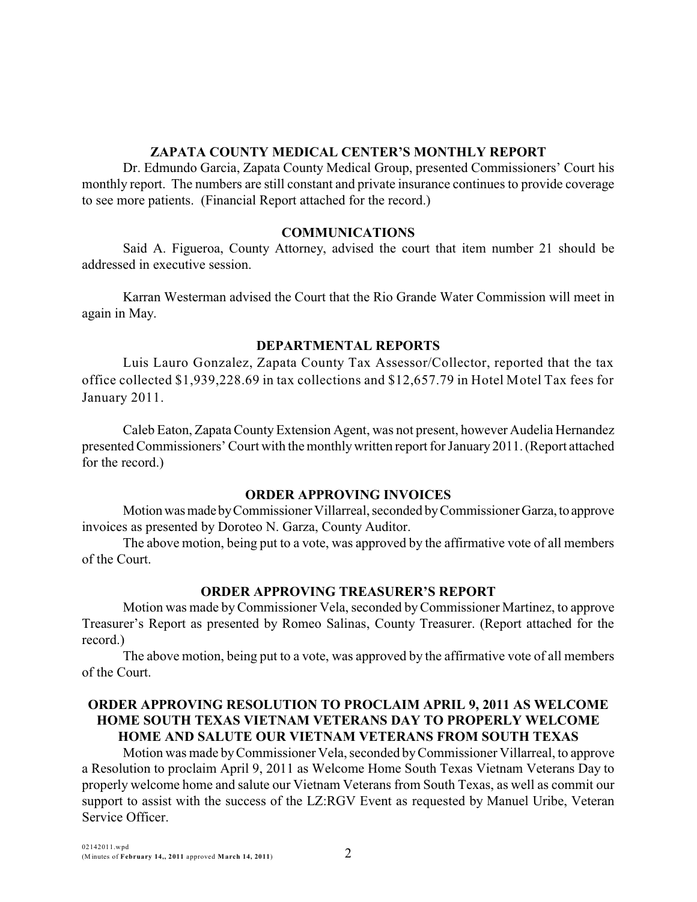### **ZAPATA COUNTY MEDICAL CENTER'S MONTHLY REPORT**

Dr. Edmundo Garcia, Zapata County Medical Group, presented Commissioners' Court his monthly report. The numbers are still constant and private insurance continues to provide coverage to see more patients. (Financial Report attached for the record.)

### **COMMUNICATIONS**

Said A. Figueroa, County Attorney, advised the court that item number 21 should be addressed in executive session.

Karran Westerman advised the Court that the Rio Grande Water Commission will meet in again in May.

# **DEPARTMENTAL REPORTS**

Luis Lauro Gonzalez, Zapata County Tax Assessor/Collector, reported that the tax office collected \$1,939,228.69 in tax collections and \$12,657.79 in Hotel Motel Tax fees for January 2011.

Caleb Eaton, ZapataCounty Extension Agent, was not present, however Audelia Hernandez presented Commissioners' Court with the monthlywritten report for January 2011. (Report attached for the record.)

# **ORDER APPROVING INVOICES**

Motion was made by Commissioner Villarreal, seconded by Commissioner Garza, to approve invoices as presented by Doroteo N. Garza, County Auditor.

The above motion, being put to a vote, was approved by the affirmative vote of all members of the Court.

# **ORDER APPROVING TREASURER'S REPORT**

Motion was made byCommissioner Vela, seconded byCommissioner Martinez, to approve Treasurer's Report as presented by Romeo Salinas, County Treasurer. (Report attached for the record.)

The above motion, being put to a vote, was approved by the affirmative vote of all members of the Court.

# **ORDER APPROVING RESOLUTION TO PROCLAIM APRIL 9, 2011 AS WELCOME HOME SOUTH TEXAS VIETNAM VETERANS DAY TO PROPERLY WELCOME HOME AND SALUTE OUR VIETNAM VETERANS FROM SOUTH TEXAS**

Motion was made byCommissioner Vela, seconded byCommissioner Villarreal, to approve a Resolution to proclaim April 9, 2011 as Welcome Home South Texas Vietnam Veterans Day to properly welcome home and salute our Vietnam Veterans from South Texas, as well as commit our support to assist with the success of the LZ:RGV Event as requested by Manuel Uribe, Veteran Service Officer.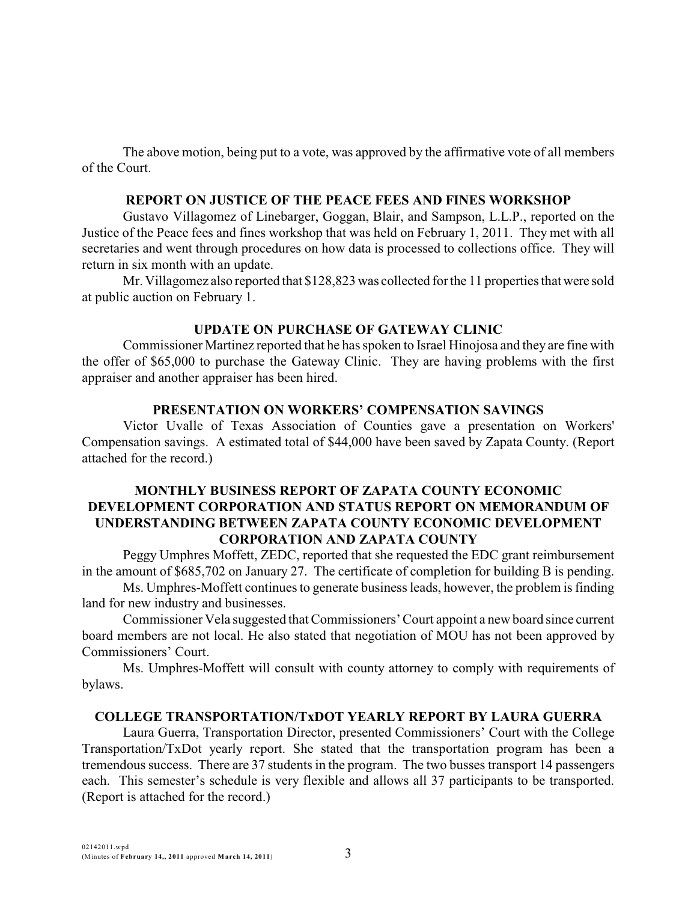### **REPORT ON JUSTICE OF THE PEACE FEES AND FINES WORKSHOP**

Gustavo Villagomez of Linebarger, Goggan, Blair, and Sampson, L.L.P., reported on the Justice of the Peace fees and fines workshop that was held on February 1, 2011. They met with all secretaries and went through procedures on how data is processed to collections office. They will return in six month with an update.

Mr. Villagomez also reported that \$128,823 was collected for the 11 properties that were sold at public auction on February 1.

### **UPDATE ON PURCHASE OF GATEWAY CLINIC**

Commissioner Martinez reported that he has spoken to Israel Hinojosa and they are fine with the offer of \$65,000 to purchase the Gateway Clinic. They are having problems with the first appraiser and another appraiser has been hired.

### **PRESENTATION ON WORKERS' COMPENSATION SAVINGS**

Victor Uvalle of Texas Association of Counties gave a presentation on Workers' Compensation savings. A estimated total of \$44,000 have been saved by Zapata County. (Report attached for the record.)

## **MONTHLY BUSINESS REPORT OF ZAPATA COUNTY ECONOMIC DEVELOPMENT CORPORATION AND STATUS REPORT ON MEMORANDUM OF UNDERSTANDING BETWEEN ZAPATA COUNTY ECONOMIC DEVELOPMENT CORPORATION AND ZAPATA COUNTY**

Peggy Umphres Moffett, ZEDC, reported that she requested the EDC grant reimbursement in the amount of \$685,702 on January 27. The certificate of completion for building B is pending.

Ms. Umphres-Moffett continues to generate business leads, however, the problem is finding land for new industry and businesses.

Commissioner Vela suggested that Commissioners' Court appoint a new board since current board members are not local. He also stated that negotiation of MOU has not been approved by Commissioners' Court.

Ms. Umphres-Moffett will consult with county attorney to comply with requirements of bylaws.

### **COLLEGE TRANSPORTATION/TxDOT YEARLY REPORT BY LAURA GUERRA**

Laura Guerra, Transportation Director, presented Commissioners' Court with the College Transportation/TxDot yearly report. She stated that the transportation program has been a tremendous success. There are 37 students in the program. The two busses transport 14 passengers each. This semester's schedule is very flexible and allows all 37 participants to be transported. (Report is attached for the record.)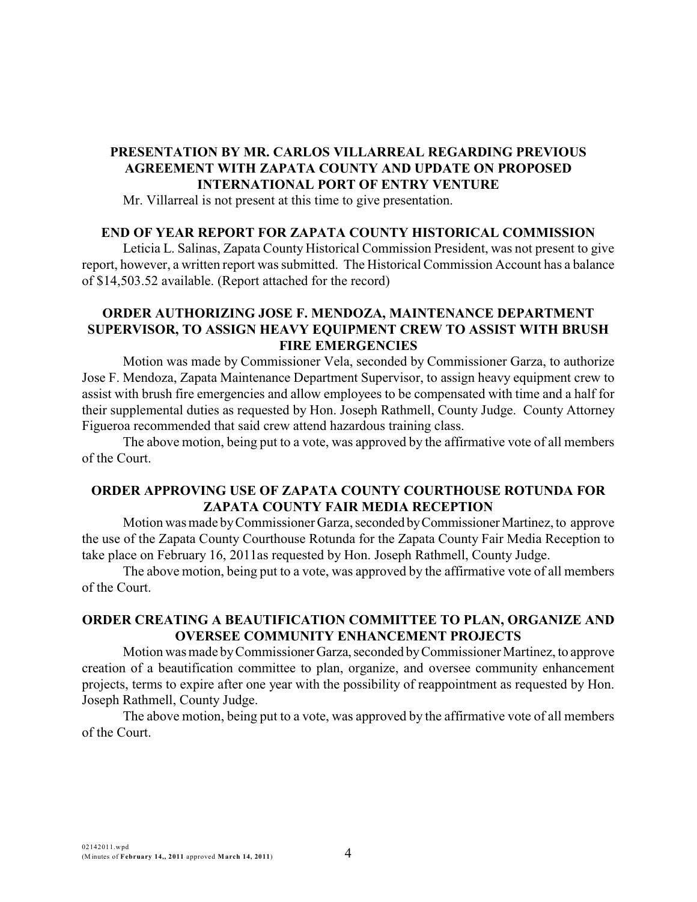## **PRESENTATION BY MR. CARLOS VILLARREAL REGARDING PREVIOUS AGREEMENT WITH ZAPATA COUNTY AND UPDATE ON PROPOSED INTERNATIONAL PORT OF ENTRY VENTURE**

Mr. Villarreal is not present at this time to give presentation.

#### **END OF YEAR REPORT FOR ZAPATA COUNTY HISTORICAL COMMISSION**

Leticia L. Salinas, Zapata County Historical Commission President, was not present to give report, however, a written report was submitted. The Historical Commission Account has a balance of \$14,503.52 available. (Report attached for the record)

# **ORDER AUTHORIZING JOSE F. MENDOZA, MAINTENANCE DEPARTMENT SUPERVISOR, TO ASSIGN HEAVY EQUIPMENT CREW TO ASSIST WITH BRUSH FIRE EMERGENCIES**

Motion was made by Commissioner Vela, seconded by Commissioner Garza, to authorize Jose F. Mendoza, Zapata Maintenance Department Supervisor, to assign heavy equipment crew to assist with brush fire emergencies and allow employees to be compensated with time and a half for their supplemental duties as requested by Hon. Joseph Rathmell, County Judge. County Attorney Figueroa recommended that said crew attend hazardous training class.

The above motion, being put to a vote, was approved by the affirmative vote of all members of the Court.

## **ORDER APPROVING USE OF ZAPATA COUNTY COURTHOUSE ROTUNDA FOR ZAPATA COUNTY FAIR MEDIA RECEPTION**

Motion was made byCommissioner Garza, seconded byCommissionerMartinez, to approve the use of the Zapata County Courthouse Rotunda for the Zapata County Fair Media Reception to take place on February 16, 2011as requested by Hon. Joseph Rathmell, County Judge.

The above motion, being put to a vote, was approved by the affirmative vote of all members of the Court.

## **ORDER CREATING A BEAUTIFICATION COMMITTEE TO PLAN, ORGANIZE AND OVERSEE COMMUNITY ENHANCEMENT PROJECTS**

Motion was made byCommissionerGarza,seconded byCommissioner Martinez, to approve creation of a beautification committee to plan, organize, and oversee community enhancement projects, terms to expire after one year with the possibility of reappointment as requested by Hon. Joseph Rathmell, County Judge.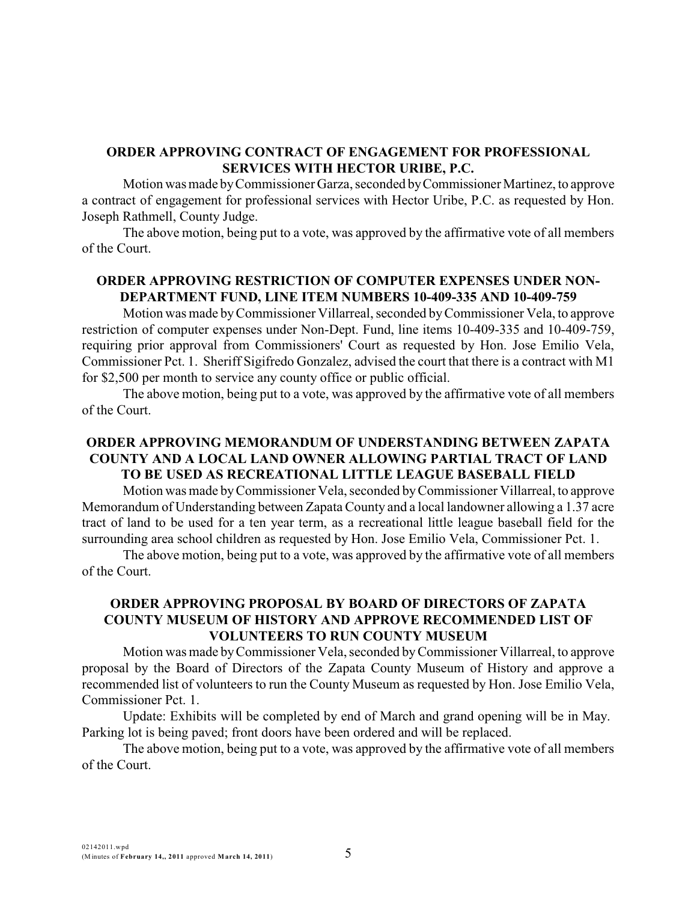## **ORDER APPROVING CONTRACT OF ENGAGEMENT FOR PROFESSIONAL SERVICES WITH HECTOR URIBE, P.C.**

Motion was made byCommissioner Garza, seconded byCommissioner Martinez, to approve a contract of engagement for professional services with Hector Uribe, P.C. as requested by Hon. Joseph Rathmell, County Judge.

The above motion, being put to a vote, was approved by the affirmative vote of all members of the Court.

# **ORDER APPROVING RESTRICTION OF COMPUTER EXPENSES UNDER NON-DEPARTMENT FUND, LINE ITEM NUMBERS 10-409-335 AND 10-409-759**

Motion was made byCommissioner Villarreal, seconded byCommissioner Vela, to approve restriction of computer expenses under Non-Dept. Fund, line items 10-409-335 and 10-409-759, requiring prior approval from Commissioners' Court as requested by Hon. Jose Emilio Vela, Commissioner Pct. 1. Sheriff Sigifredo Gonzalez, advised the court that there is a contract with M1 for \$2,500 per month to service any county office or public official.

The above motion, being put to a vote, was approved by the affirmative vote of all members of the Court.

# **ORDER APPROVING MEMORANDUM OF UNDERSTANDING BETWEEN ZAPATA COUNTY AND A LOCAL LAND OWNER ALLOWING PARTIAL TRACT OF LAND TO BE USED AS RECREATIONAL LITTLE LEAGUE BASEBALL FIELD**

Motion was made byCommissioner Vela, seconded byCommissioner Villarreal, to approve Memorandum of Understanding between Zapata County and a local landowner allowing a 1.37 acre tract of land to be used for a ten year term, as a recreational little league baseball field for the surrounding area school children as requested by Hon. Jose Emilio Vela, Commissioner Pct. 1.

The above motion, being put to a vote, was approved by the affirmative vote of all members of the Court.

## **ORDER APPROVING PROPOSAL BY BOARD OF DIRECTORS OF ZAPATA COUNTY MUSEUM OF HISTORY AND APPROVE RECOMMENDED LIST OF VOLUNTEERS TO RUN COUNTY MUSEUM**

Motion was made byCommissioner Vela, seconded byCommissioner Villarreal, to approve proposal by the Board of Directors of the Zapata County Museum of History and approve a recommended list of volunteers to run the County Museum as requested by Hon. Jose Emilio Vela, Commissioner Pct. 1.

Update: Exhibits will be completed by end of March and grand opening will be in May. Parking lot is being paved; front doors have been ordered and will be replaced.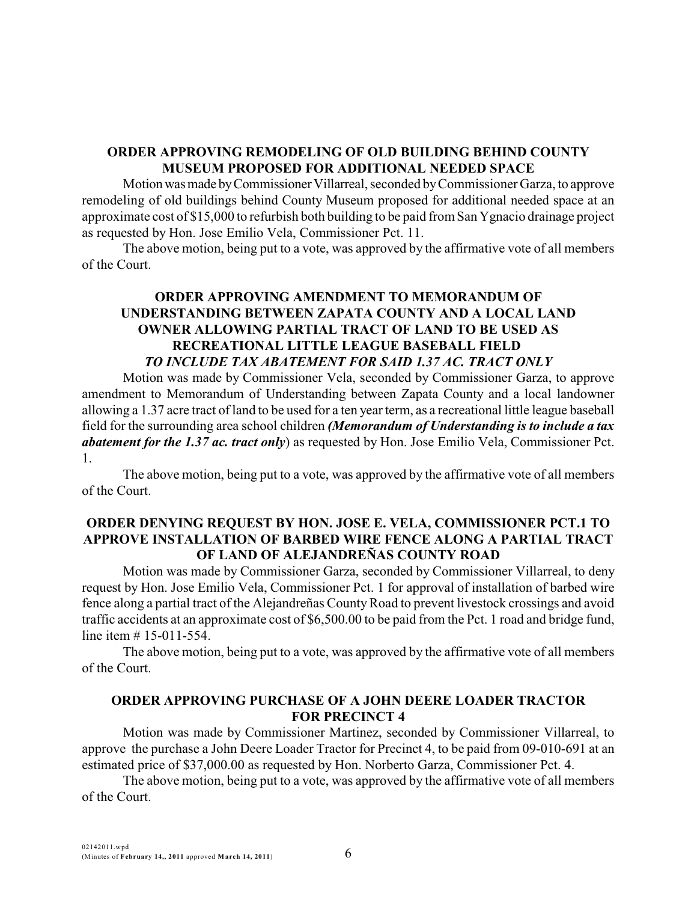## **ORDER APPROVING REMODELING OF OLD BUILDING BEHIND COUNTY MUSEUM PROPOSED FOR ADDITIONAL NEEDED SPACE**

Motionwasmade byCommissionerVillarreal, seconded byCommissioner Garza, to approve remodeling of old buildings behind County Museum proposed for additional needed space at an approximate cost of \$15,000 to refurbish both building to be paid from San Ygnacio drainage project as requested by Hon. Jose Emilio Vela, Commissioner Pct. 11.

The above motion, being put to a vote, was approved by the affirmative vote of all members of the Court.

## **ORDER APPROVING AMENDMENT TO MEMORANDUM OF UNDERSTANDING BETWEEN ZAPATA COUNTY AND A LOCAL LAND OWNER ALLOWING PARTIAL TRACT OF LAND TO BE USED AS RECREATIONAL LITTLE LEAGUE BASEBALL FIELD** *TO INCLUDE TAX ABATEMENT FOR SAID 1.37 AC. TRACT ONLY*

Motion was made by Commissioner Vela, seconded by Commissioner Garza, to approve amendment to Memorandum of Understanding between Zapata County and a local landowner allowing a 1.37 acre tract of land to be used for a ten yearterm, as a recreational little league baseball field for the surrounding area school children *(Memorandum of Understanding is to include a tax abatement for the 1.37 ac. tract only*) as requested by Hon. Jose Emilio Vela, Commissioner Pct. 1.

The above motion, being put to a vote, was approved by the affirmative vote of all members of the Court.

## **ORDER DENYING REQUEST BY HON. JOSE E. VELA, COMMISSIONER PCT.1 TO APPROVE INSTALLATION OF BARBED WIRE FENCE ALONG A PARTIAL TRACT OF LAND OF ALEJANDREÑAS COUNTY ROAD**

Motion was made by Commissioner Garza, seconded by Commissioner Villarreal, to deny request by Hon. Jose Emilio Vela, Commissioner Pct. 1 for approval of installation of barbed wire fence along a partial tract of the Alejandreñas CountyRoad to prevent livestock crossings and avoid traffic accidents at an approximate cost of \$6,500.00 to be paid from the Pct. 1 road and bridge fund, line item # 15-011-554.

The above motion, being put to a vote, was approved by the affirmative vote of all members of the Court.

## **ORDER APPROVING PURCHASE OF A JOHN DEERE LOADER TRACTOR FOR PRECINCT 4**

Motion was made by Commissioner Martinez, seconded by Commissioner Villarreal, to approve the purchase a John Deere Loader Tractor for Precinct 4, to be paid from 09-010-691 at an estimated price of \$37,000.00 as requested by Hon. Norberto Garza, Commissioner Pct. 4.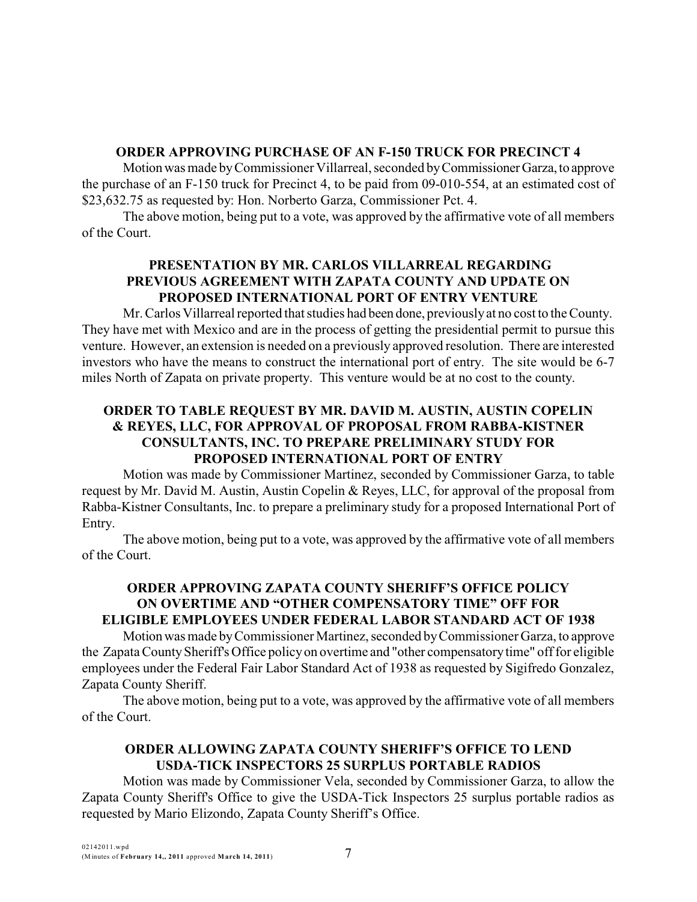# **ORDER APPROVING PURCHASE OF AN F-150 TRUCK FOR PRECINCT 4**

Motion was made by Commissioner Villarreal, seconded by Commissioner Garza, to approve the purchase of an F-150 truck for Precinct 4, to be paid from 09-010-554, at an estimated cost of \$23,632.75 as requested by: Hon. Norberto Garza, Commissioner Pct. 4.

The above motion, being put to a vote, was approved by the affirmative vote of all members of the Court.

# **PRESENTATION BY MR. CARLOS VILLARREAL REGARDING PREVIOUS AGREEMENT WITH ZAPATA COUNTY AND UPDATE ON PROPOSED INTERNATIONAL PORT OF ENTRY VENTURE**

Mr. Carlos Villarreal reported that studies had been done, previouslyat no cost to the County. They have met with Mexico and are in the process of getting the presidential permit to pursue this venture. However, an extension is needed on a previously approved resolution. There are interested investors who have the means to construct the international port of entry. The site would be 6-7 miles North of Zapata on private property. This venture would be at no cost to the county.

# **ORDER TO TABLE REQUEST BY MR. DAVID M. AUSTIN, AUSTIN COPELIN & REYES, LLC, FOR APPROVAL OF PROPOSAL FROM RABBA-KISTNER CONSULTANTS, INC. TO PREPARE PRELIMINARY STUDY FOR PROPOSED INTERNATIONAL PORT OF ENTRY**

Motion was made by Commissioner Martinez, seconded by Commissioner Garza, to table request by Mr. David M. Austin, Austin Copelin & Reyes, LLC, for approval of the proposal from Rabba-Kistner Consultants, Inc. to prepare a preliminary study for a proposed International Port of Entry.

The above motion, being put to a vote, was approved by the affirmative vote of all members of the Court.

# **ORDER APPROVING ZAPATA COUNTY SHERIFF'S OFFICE POLICY ON OVERTIME AND "OTHER COMPENSATORY TIME" OFF FOR ELIGIBLE EMPLOYEES UNDER FEDERAL LABOR STANDARD ACT OF 1938**

Motionwas made byCommissioner Martinez, seconded byCommissioner Garza, to approve the ZapataCountySheriff's Office policyon overtime and "other compensatorytime" off for eligible employees under the Federal Fair Labor Standard Act of 1938 as requested by Sigifredo Gonzalez, Zapata County Sheriff.

The above motion, being put to a vote, was approved by the affirmative vote of all members of the Court.

# **ORDER ALLOWING ZAPATA COUNTY SHERIFF'S OFFICE TO LEND USDA-TICK INSPECTORS 25 SURPLUS PORTABLE RADIOS**

Motion was made by Commissioner Vela, seconded by Commissioner Garza, to allow the Zapata County Sheriff's Office to give the USDA-Tick Inspectors 25 surplus portable radios as requested by Mario Elizondo, Zapata County Sheriff's Office.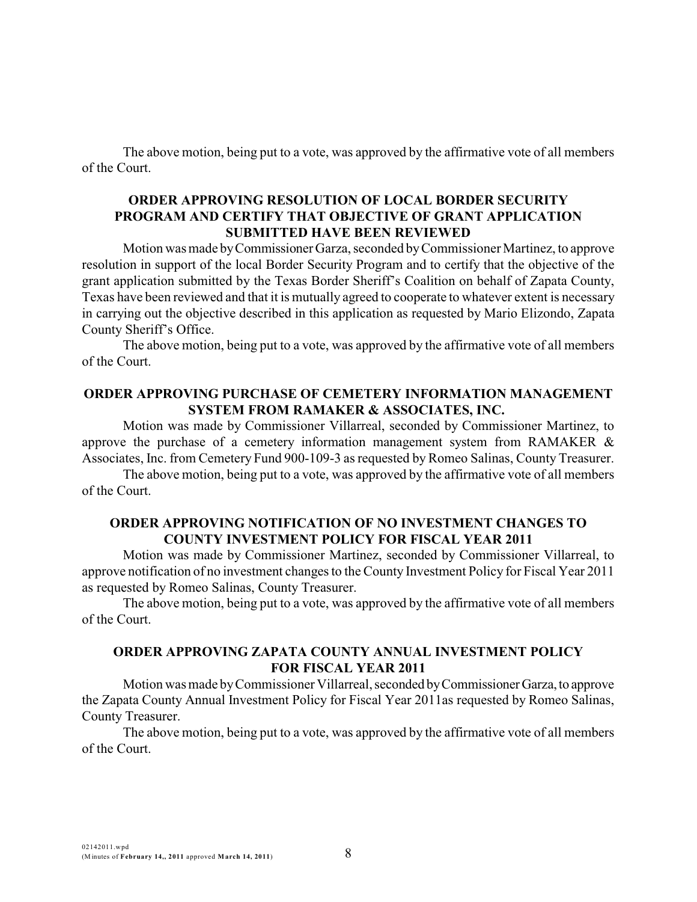### **ORDER APPROVING RESOLUTION OF LOCAL BORDER SECURITY PROGRAM AND CERTIFY THAT OBJECTIVE OF GRANT APPLICATION SUBMITTED HAVE BEEN REVIEWED**

Motion was made byCommissioner Garza, seconded byCommissioner Martinez, to approve resolution in support of the local Border Security Program and to certify that the objective of the grant application submitted by the Texas Border Sheriff's Coalition on behalf of Zapata County, Texas have been reviewed and that it is mutually agreed to cooperate to whatever extent is necessary in carrying out the objective described in this application as requested by Mario Elizondo, Zapata County Sheriff's Office.

The above motion, being put to a vote, was approved by the affirmative vote of all members of the Court.

### **ORDER APPROVING PURCHASE OF CEMETERY INFORMATION MANAGEMENT SYSTEM FROM RAMAKER & ASSOCIATES, INC.**

Motion was made by Commissioner Villarreal, seconded by Commissioner Martinez, to approve the purchase of a cemetery information management system from RAMAKER & Associates, Inc. from Cemetery Fund 900-109-3 as requested by Romeo Salinas, County Treasurer.

The above motion, being put to a vote, was approved by the affirmative vote of all members of the Court.

## **ORDER APPROVING NOTIFICATION OF NO INVESTMENT CHANGES TO COUNTY INVESTMENT POLICY FOR FISCAL YEAR 2011**

Motion was made by Commissioner Martinez, seconded by Commissioner Villarreal, to approve notification of no investment changes to the County Investment Policy for Fiscal Year 2011 as requested by Romeo Salinas, County Treasurer.

The above motion, being put to a vote, was approved by the affirmative vote of all members of the Court.

# **ORDER APPROVING ZAPATA COUNTY ANNUAL INVESTMENT POLICY FOR FISCAL YEAR 2011**

Motion was made byCommissioner Villarreal, seconded byCommissionerGarza,to approve the Zapata County Annual Investment Policy for Fiscal Year 2011as requested by Romeo Salinas, County Treasurer.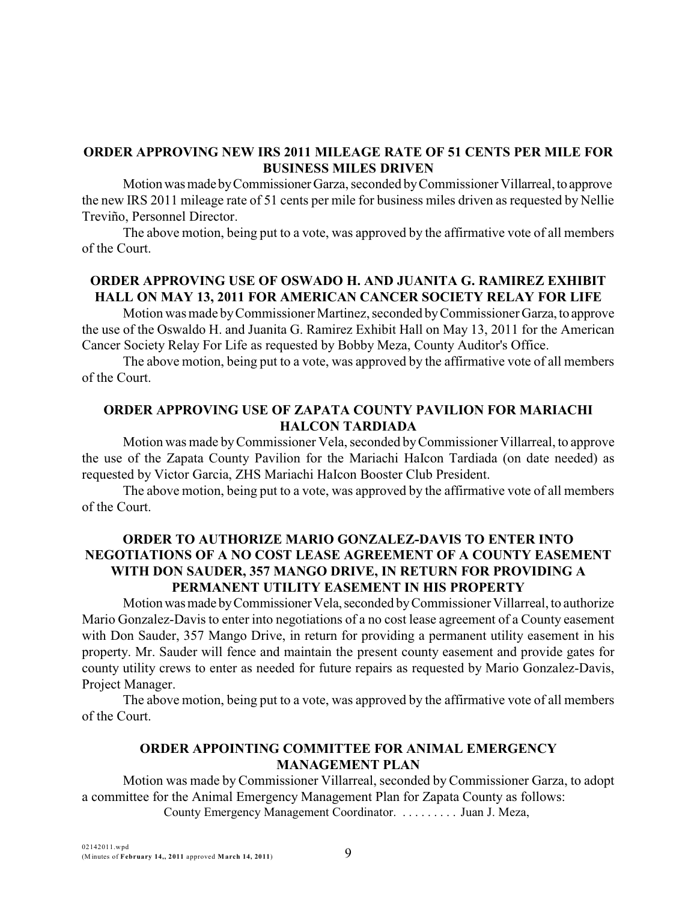## **ORDER APPROVING NEW IRS 2011 MILEAGE RATE OF 51 CENTS PER MILE FOR BUSINESS MILES DRIVEN**

Motionwasmade byCommissionerGarza, seconded byCommissioner Villarreal,to approve the new IRS 2011 mileage rate of 51 cents per mile for business miles driven as requested by Nellie Treviño, Personnel Director.

The above motion, being put to a vote, was approved by the affirmative vote of all members of the Court.

# **ORDER APPROVING USE OF OSWADO H. AND JUANITA G. RAMIREZ EXHIBIT HALL ON MAY 13, 2011 FOR AMERICAN CANCER SOCIETY RELAY FOR LIFE**

Motion was made byCommissioner Martinez, seconded byCommissioner Garza, to approve the use of the Oswaldo H. and Juanita G. Ramirez Exhibit Hall on May 13, 2011 for the American Cancer Society Relay For Life as requested by Bobby Meza, County Auditor's Office.

The above motion, being put to a vote, was approved by the affirmative vote of all members of the Court.

# **ORDER APPROVING USE OF ZAPATA COUNTY PAVILION FOR MARIACHI HALCON TARDIADA**

Motion was made byCommissioner Vela, seconded byCommissioner Villarreal, to approve the use of the Zapata County Pavilion for the Mariachi HaIcon Tardiada (on date needed) as requested by Victor Garcia, ZHS Mariachi HaIcon Booster Club President.

The above motion, being put to a vote, was approved by the affirmative vote of all members of the Court.

# **ORDER TO AUTHORIZE MARIO GONZALEZ-DAVIS TO ENTER INTO NEGOTIATIONS OF A NO COST LEASE AGREEMENT OF A COUNTY EASEMENT WITH DON SAUDER, 357 MANGO DRIVE, IN RETURN FOR PROVIDING A PERMANENT UTILITY EASEMENT IN HIS PROPERTY**

Motion was made by Commissioner Vela, seconded by Commissioner Villarreal, to authorize Mario Gonzalez-Davis to enter into negotiations of a no cost lease agreement of a County easement with Don Sauder, 357 Mango Drive, in return for providing a permanent utility easement in his property. Mr. Sauder will fence and maintain the present county easement and provide gates for county utility crews to enter as needed for future repairs as requested by Mario Gonzalez-Davis, Project Manager.

The above motion, being put to a vote, was approved by the affirmative vote of all members of the Court.

# **ORDER APPOINTING COMMITTEE FOR ANIMAL EMERGENCY MANAGEMENT PLAN**

Motion was made by Commissioner Villarreal, seconded by Commissioner Garza, to adopt a committee for the Animal Emergency Management Plan for Zapata County as follows: County Emergency Management Coordinator. . . . . . . . . . Juan J. Meza,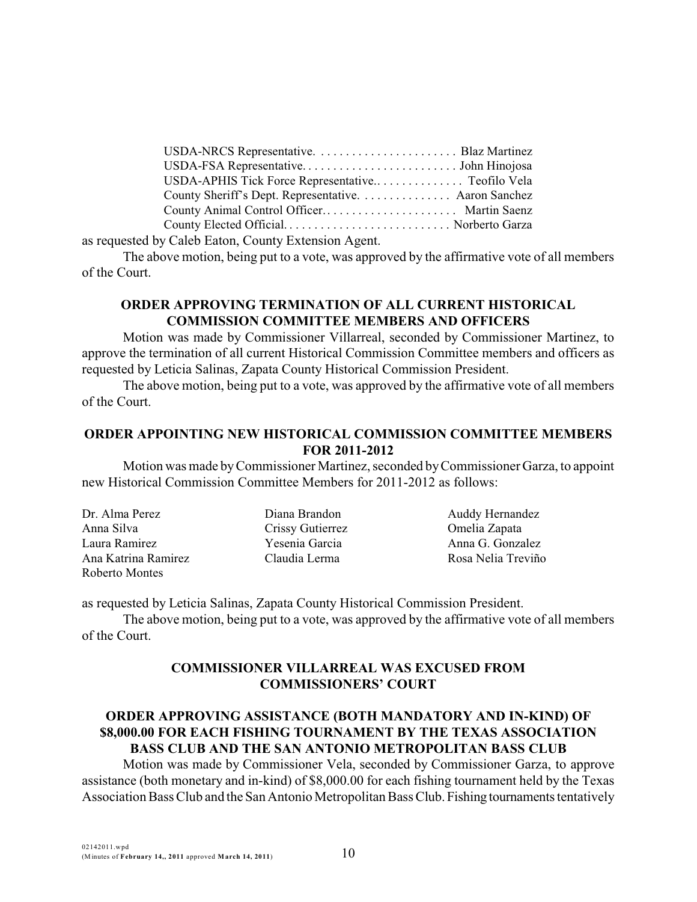| County Sheriff's Dept. Representative. Aaron Sanchez   |  |
|--------------------------------------------------------|--|
|                                                        |  |
| County Elected Official Norberto Garza                 |  |
| $\sim$ 0.1.1. E.t. $\sim$ 0 $\sim$ E.t. $\sim$ A.c. A. |  |

as requested by Caleb Eaton, County Extension Agent.

The above motion, being put to a vote, was approved by the affirmative vote of all members of the Court.

## **ORDER APPROVING TERMINATION OF ALL CURRENT HISTORICAL COMMISSION COMMITTEE MEMBERS AND OFFICERS**

Motion was made by Commissioner Villarreal, seconded by Commissioner Martinez, to approve the termination of all current Historical Commission Committee members and officers as requested by Leticia Salinas, Zapata County Historical Commission President.

The above motion, being put to a vote, was approved by the affirmative vote of all members of the Court.

## **ORDER APPOINTING NEW HISTORICAL COMMISSION COMMITTEE MEMBERS FOR 2011-2012**

Motion was made byCommissioner Martinez, seconded byCommissioner Garza, to appoint new Historical Commission Committee Members for 2011-2012 as follows:

| Dr. Alma Perez      | Diana Brandon    | Auddy Hernandez    |
|---------------------|------------------|--------------------|
| Anna Silva          | Crissy Gutierrez | Omelia Zapata      |
| Laura Ramirez       | Yesenia Garcia   | Anna G. Gonzalez   |
| Ana Katrina Ramirez | Claudia Lerma    | Rosa Nelia Treviño |
| Roberto Montes      |                  |                    |

as requested by Leticia Salinas, Zapata County Historical Commission President.

The above motion, being put to a vote, was approved by the affirmative vote of all members of the Court.

# **COMMISSIONER VILLARREAL WAS EXCUSED FROM COMMISSIONERS' COURT**

# **ORDER APPROVING ASSISTANCE (BOTH MANDATORY AND IN-KIND) OF \$8,000.00 FOR EACH FISHING TOURNAMENT BY THE TEXAS ASSOCIATION BASS CLUB AND THE SAN ANTONIO METROPOLITAN BASS CLUB**

Motion was made by Commissioner Vela, seconded by Commissioner Garza, to approve assistance (both monetary and in-kind) of \$8,000.00 for each fishing tournament held by the Texas Association Bass Club and the San Antonio Metropolitan Bass Club. Fishing tournaments tentatively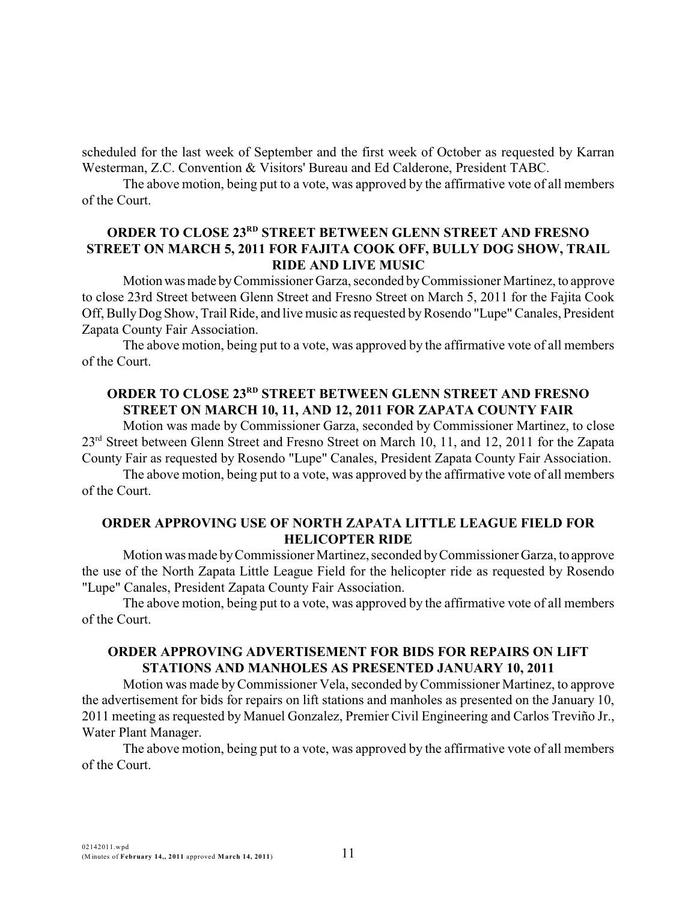scheduled for the last week of September and the first week of October as requested by Karran Westerman, Z.C. Convention & Visitors' Bureau and Ed Calderone, President TABC.

The above motion, being put to a vote, was approved by the affirmative vote of all members of the Court.

# **ORDER TO CLOSE 23<sup>RD</sup> STREET BETWEEN GLENN STREET AND FRESNO STREET ON MARCH 5, 2011 FOR FAJITA COOK OFF, BULLY DOG SHOW, TRAIL RIDE AND LIVE MUSIC**

Motion was made by Commissioner Garza, seconded by Commissioner Martinez, to approve to close 23rd Street between Glenn Street and Fresno Street on March 5, 2011 for the Fajita Cook Off, Bully Dog Show, Trail Ride, and live music as requested by Rosendo "Lupe" Canales, President Zapata County Fair Association.

The above motion, being put to a vote, was approved by the affirmative vote of all members of the Court.

# **ORDER TO CLOSE 23RD STREET BETWEEN GLENN STREET AND FRESNO STREET ON MARCH 10, 11, AND 12, 2011 FOR ZAPATA COUNTY FAIR**

Motion was made by Commissioner Garza, seconded by Commissioner Martinez, to close 23<sup>rd</sup> Street between Glenn Street and Fresno Street on March 10, 11, and 12, 2011 for the Zapata County Fair as requested by Rosendo "Lupe" Canales, President Zapata County Fair Association.

The above motion, being put to a vote, was approved by the affirmative vote of all members of the Court.

### **ORDER APPROVING USE OF NORTH ZAPATA LITTLE LEAGUE FIELD FOR HELICOPTER RIDE**

Motion was made byCommissioner Martinez, seconded byCommissioner Garza, to approve the use of the North Zapata Little League Field for the helicopter ride as requested by Rosendo "Lupe" Canales, President Zapata County Fair Association.

The above motion, being put to a vote, was approved by the affirmative vote of all members of the Court.

# **ORDER APPROVING ADVERTISEMENT FOR BIDS FOR REPAIRS ON LIFT STATIONS AND MANHOLES AS PRESENTED JANUARY 10, 2011**

Motion was made byCommissioner Vela, seconded byCommissioner Martinez, to approve the advertisement for bids for repairs on lift stations and manholes as presented on the January 10, 2011 meeting as requested by Manuel Gonzalez, Premier Civil Engineering and Carlos Treviño Jr., Water Plant Manager.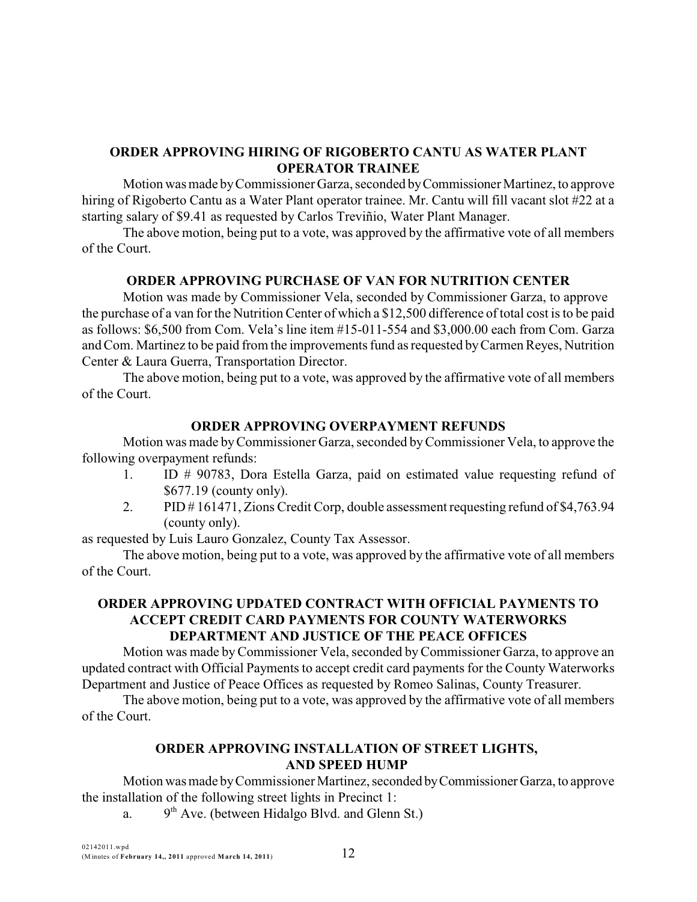# **ORDER APPROVING HIRING OF RIGOBERTO CANTU AS WATER PLANT OPERATOR TRAINEE**

Motion was made byCommissioner Garza, seconded byCommissioner Martinez, to approve hiring of Rigoberto Cantu as a Water Plant operator trainee. Mr. Cantu will fill vacant slot #22 at a starting salary of \$9.41 as requested by Carlos Treviñio, Water Plant Manager.

The above motion, being put to a vote, was approved by the affirmative vote of all members of the Court.

# **ORDER APPROVING PURCHASE OF VAN FOR NUTRITION CENTER**

Motion was made by Commissioner Vela, seconded by Commissioner Garza, to approve the purchase of a van for the Nutrition Center of which a \$12,500 difference of total cost is to be paid as follows: \$6,500 from Com. Vela's line item #15-011-554 and \$3,000.00 each from Com. Garza and Com. Martinez to be paid from the improvements fund as requested byCarmen Reyes, Nutrition Center & Laura Guerra, Transportation Director.

The above motion, being put to a vote, was approved by the affirmative vote of all members of the Court.

# **ORDER APPROVING OVERPAYMENT REFUNDS**

Motion was made byCommissioner Garza, seconded byCommissioner Vela, to approve the following overpayment refunds:

- 1. ID # 90783, Dora Estella Garza, paid on estimated value requesting refund of \$677.19 (county only).
- 2. PID # 161471, Zions Credit Corp, double assessment requesting refund of \$4,763.94 (county only).

as requested by Luis Lauro Gonzalez, County Tax Assessor.

The above motion, being put to a vote, was approved by the affirmative vote of all members of the Court.

## **ORDER APPROVING UPDATED CONTRACT WITH OFFICIAL PAYMENTS TO ACCEPT CREDIT CARD PAYMENTS FOR COUNTY WATERWORKS DEPARTMENT AND JUSTICE OF THE PEACE OFFICES**

Motion was made byCommissioner Vela, seconded byCommissioner Garza, to approve an updated contract with Official Payments to accept credit card payments for the County Waterworks Department and Justice of Peace Offices as requested by Romeo Salinas, County Treasurer.

The above motion, being put to a vote, was approved by the affirmative vote of all members of the Court.

# **ORDER APPROVING INSTALLATION OF STREET LIGHTS, AND SPEED HUMP**

Motion was made byCommissioner Martinez, seconded byCommissioner Garza, to approve the installation of the following street lights in Precinct 1:

a.  $9<sup>th</sup>$  Ave. (between Hidalgo Blvd. and Glenn St.)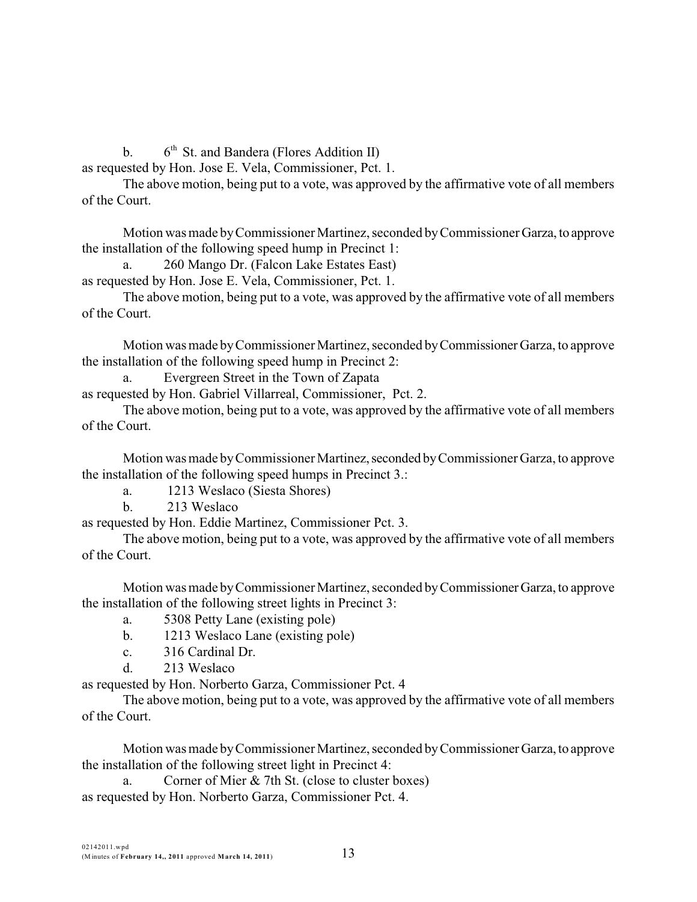b.  $6<sup>th</sup>$  St. and Bandera (Flores Addition II)

as requested by Hon. Jose E. Vela, Commissioner, Pct. 1.

The above motion, being put to a vote, was approved by the affirmative vote of all members of the Court.

Motion was made byCommissioner Martinez, seconded byCommissioner Garza, to approve the installation of the following speed hump in Precinct 1:

a. 260 Mango Dr. (Falcon Lake Estates East)

as requested by Hon. Jose E. Vela, Commissioner, Pct. 1.

The above motion, being put to a vote, was approved by the affirmative vote of all members of the Court.

Motion was made byCommissioner Martinez, seconded byCommissioner Garza, to approve the installation of the following speed hump in Precinct 2:

a. Evergreen Street in the Town of Zapata

as requested by Hon. Gabriel Villarreal, Commissioner, Pct. 2.

The above motion, being put to a vote, was approved by the affirmative vote of all members of the Court.

Motion was made byCommissioner Martinez,seconded byCommissioner Garza, to approve the installation of the following speed humps in Precinct 3.:

a. 1213 Weslaco (Siesta Shores)

b. 213 Weslaco

as requested by Hon. Eddie Martinez, Commissioner Pct. 3.

The above motion, being put to a vote, was approved by the affirmative vote of all members of the Court.

Motion was made byCommissioner Martinez, seconded byCommissionerGarza, to approve the installation of the following street lights in Precinct 3:

a. 5308 Petty Lane (existing pole)

- b. 1213 Weslaco Lane (existing pole)
- c. 316 Cardinal Dr.
- d. 213 Weslaco

as requested by Hon. Norberto Garza, Commissioner Pct. 4

The above motion, being put to a vote, was approved by the affirmative vote of all members of the Court.

Motion was made byCommissioner Martinez, seconded byCommissionerGarza, to approve the installation of the following street light in Precinct 4:

a. Corner of Mier & 7th St. (close to cluster boxes) as requested by Hon. Norberto Garza, Commissioner Pct. 4.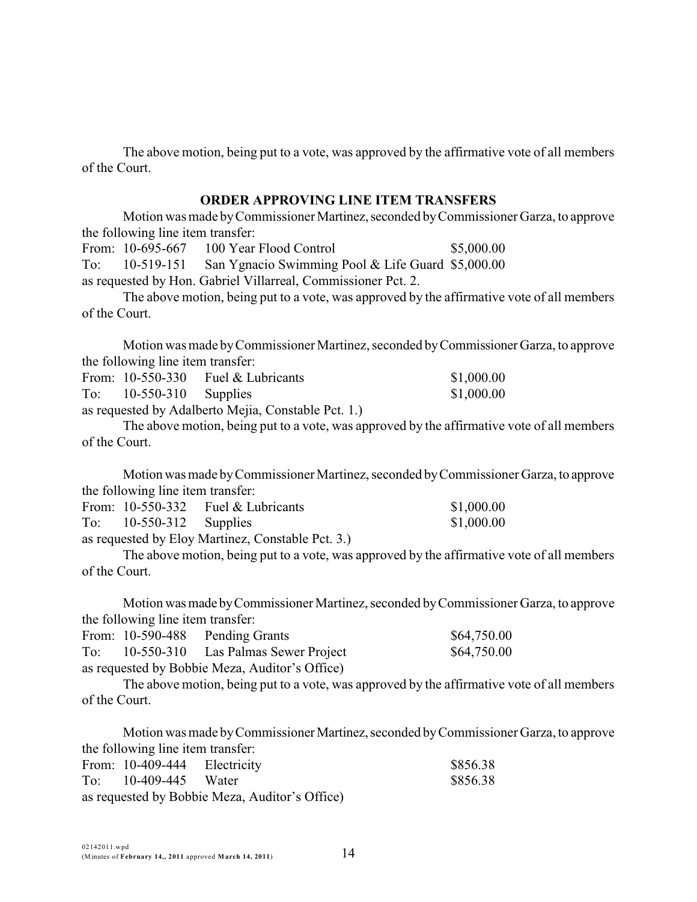### **ORDER APPROVING LINE ITEM TRANSFERS**

Motion was made by Commissioner Martinez, seconded by Commissioner Garza, to approve the following line item transfer:

From: 10-695-667 100 Year Flood Control \$5,000.00 To: 10-519-151 San Ygnacio Swimming Pool & Life Guard \$5,000.00 as requested by Hon. Gabriel Villarreal, Commissioner Pct. 2.

The above motion, being put to a vote, was approved by the affirmative vote of all members of the Court.

Motion was made byCommissioner Martinez, seconded byCommissioner Garza, to approve the following line item transfer:

|     |                       | From: $10-550-330$ Fuel & Lubricants | \$1,000.00 |
|-----|-----------------------|--------------------------------------|------------|
| To: | $10-550-310$ Supplies |                                      | \$1,000.00 |

as requested by Adalberto Mejia, Constable Pct. 1.)

The above motion, being put to a vote, was approved by the affirmative vote of all members of the Court.

Motion was made byCommissioner Martinez, seconded byCommissioner Garza, to approve the following line item transfer:

|     |                       | From: $10-550-332$ Fuel & Lubricants | \$1,000.00 |
|-----|-----------------------|--------------------------------------|------------|
| To: | $10-550-312$ Supplies |                                      | \$1,000.00 |
|     |                       |                                      |            |

as requested by Eloy Martinez, Constable Pct. 3.)

The above motion, being put to a vote, was approved by the affirmative vote of all members of the Court.

Motion wasmade byCommissioner Martinez, seconded byCommissioner Garza, to approve the following line item transfer:

|     | From: 10-590-488 Pending Grants                | \$64,750.00 |
|-----|------------------------------------------------|-------------|
| To: | 10-550-310 Las Palmas Sewer Project            | \$64,750.00 |
|     | as requested by Bobbie Meza, Auditor's Office) |             |

The above motion, being put to a vote, was approved by the affirmative vote of all members of the Court.

Motion was made by Commissioner Martinez, seconded by Commissioner Garza, to approve the following line item transfer: From: 10-409-444 Electricity \$856.38 To: 10-409-445 Water \$856.38

as requested by Bobbie Meza, Auditor's Office)